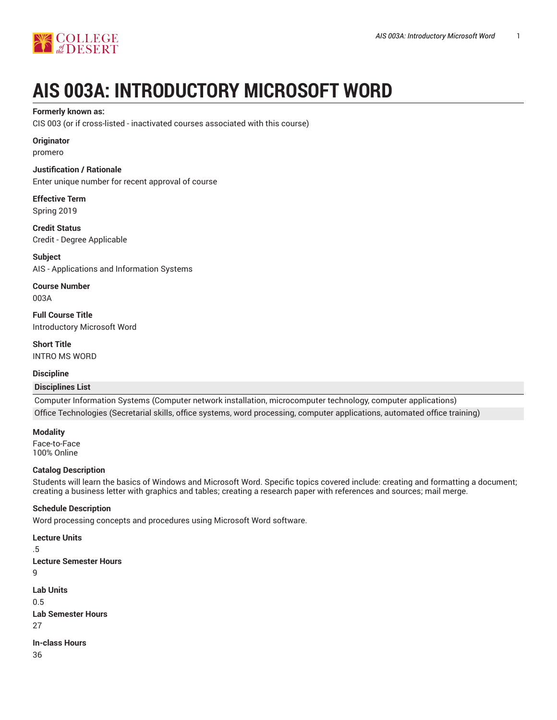

# **AIS 003A: INTRODUCTORY MICROSOFT WORD**

#### **Formerly known as:**

CIS 003 (or if cross-listed - inactivated courses associated with this course)

### **Originator**

promero

### **Justification / Rationale**

Enter unique number for recent approval of course

**Effective Term** Spring 2019

**Credit Status** Credit - Degree Applicable

**Subject** AIS - Applications and Information Systems

**Course Number** 003A

**Full Course Title** Introductory Microsoft Word

**Short Title** INTRO MS WORD

# **Discipline**

# **Disciplines List**

Computer Information Systems (Computer network installation, microcomputer technology, computer applications) Office Technologies (Secretarial skills, office systems, word processing, computer applications, automated office training)

**Modality**

Face-to-Face 100% Online

# **Catalog Description**

Students will learn the basics of Windows and Microsoft Word. Specific topics covered include: creating and formatting a document; creating a business letter with graphics and tables; creating a research paper with references and sources; mail merge.

# **Schedule Description**

Word processing concepts and procedures using Microsoft Word software.

```
Lecture Units
.5
Lecture Semester Hours
9
Lab Units
0.5
Lab Semester Hours
27
In-class Hours
36
```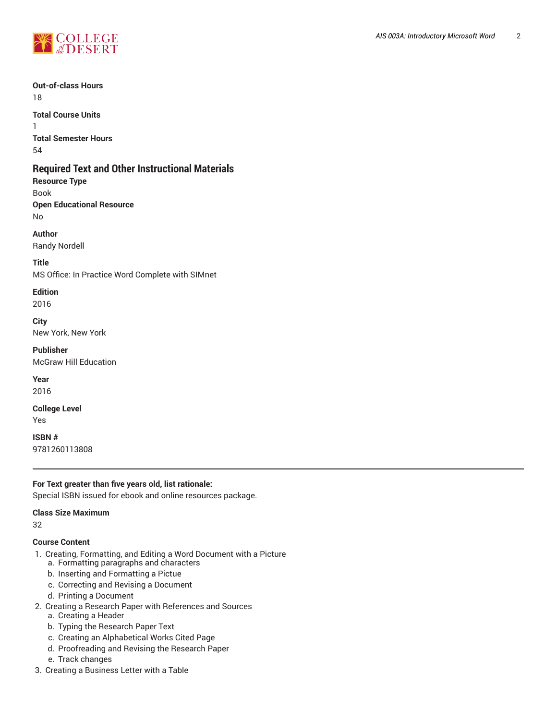

#### **Out-of-class Hours** 18

**Total Course Units** 1 **Total Semester Hours** 54

# **Required Text and Other Instructional Materials**

**Resource Type** Book **Open Educational Resource** No

**Author**

Randy Nordell

**Title** MS Office: In Practice Word Complete with SIMnet

# **Edition**

2016

**City** New York, New York

**Publisher** McGraw Hill Education

**Year** 2016

**College Level** Yes

**ISBN #** 9781260113808

# **For Text greater than five years old, list rationale:**

Special ISBN issued for ebook and online resources package.

#### **Class Size Maximum**

32

# **Course Content**

- 1. Creating, Formatting, and Editing a Word Document with a Picture
	- a. Formatting paragraphs and characters
	- b. Inserting and Formatting a Pictue
	- c. Correcting and Revising a Document
	- d. Printing a Document
- 2. Creating a Research Paper with References and Sources
	- a. Creating a Header
	- b. Typing the Research Paper Text
	- c. Creating an Alphabetical Works Cited Page
	- d. Proofreading and Revising the Research Paper
	- e. Track changes
- 3. Creating a Business Letter with a Table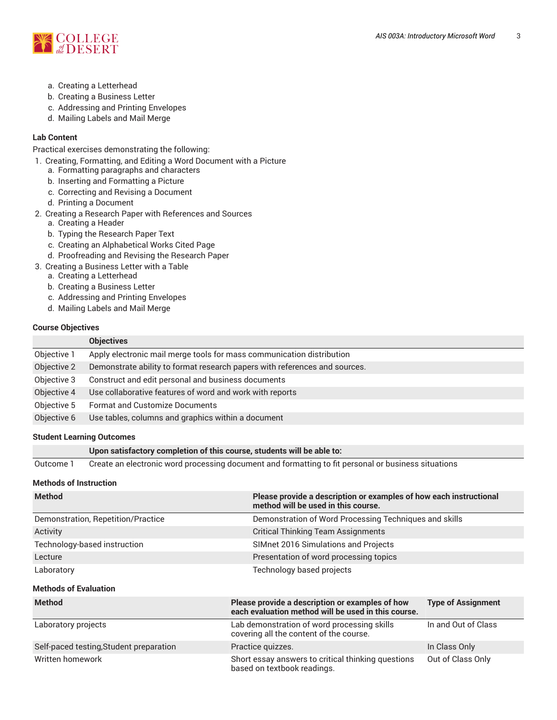

- a. Creating a Letterhead
- b. Creating a Business Letter
- c. Addressing and Printing Envelopes
- d. Mailing Labels and Mail Merge

# **Lab Content**

Practical exercises demonstrating the following:

- 1. Creating, Formatting, and Editing a Word Document with a Picture
	- a. Formatting paragraphs and characters
	- b. Inserting and Formatting a Picture
	- c. Correcting and Revising a Document
	- d. Printing a Document
- 2. Creating a Research Paper with References and Sources
	- a. Creating a Header
	- b. Typing the Research Paper Text
	- c. Creating an Alphabetical Works Cited Page
	- d. Proofreading and Revising the Research Paper
- 3. Creating a Business Letter with a Table
	- a. Creating a Letterhead
	- b. Creating a Business Letter
	- c. Addressing and Printing Envelopes
	- d. Mailing Labels and Mail Merge

#### **Course Objectives**

|             | <b>Objectives</b>                                                          |
|-------------|----------------------------------------------------------------------------|
| Objective 1 | Apply electronic mail merge tools for mass communication distribution      |
| Objective 2 | Demonstrate ability to format research papers with references and sources. |
| Objective 3 | Construct and edit personal and business documents                         |
| Objective 4 | Use collaborative features of word and work with reports                   |
| Objective 5 | <b>Format and Customize Documents</b>                                      |
| Objective 6 | Use tables, columns and graphics within a document                         |
|             |                                                                            |

#### **Student Learning Outcomes**

#### **Upon satisfactory completion of this course, students will be able to:**

Outcome 1 Create an electronic word processing document and formatting to fit personal or business situations

## **Methods of Instruction**

| <b>Method</b>                      | Please provide a description or examples of how each instructional<br>method will be used in this course. |
|------------------------------------|-----------------------------------------------------------------------------------------------------------|
| Demonstration, Repetition/Practice | Demonstration of Word Processing Techniques and skills                                                    |
| Activity                           | <b>Critical Thinking Team Assignments</b>                                                                 |
| Technology-based instruction       | SIMnet 2016 Simulations and Projects                                                                      |
| Lecture                            | Presentation of word processing topics                                                                    |
| Laboratory                         | Technology based projects                                                                                 |

#### **Methods of Evaluation**

| <b>Method</b>                           | Please provide a description or examples of how<br>each evaluation method will be used in this course. | <b>Type of Assignment</b> |
|-----------------------------------------|--------------------------------------------------------------------------------------------------------|---------------------------|
| Laboratory projects                     | Lab demonstration of word processing skills<br>covering all the content of the course.                 | In and Out of Class       |
| Self-paced testing, Student preparation | Practice quizzes.                                                                                      | In Class Only             |
| Written homework                        | Short essay answers to critical thinking questions<br>based on textbook readings.                      | Out of Class Only         |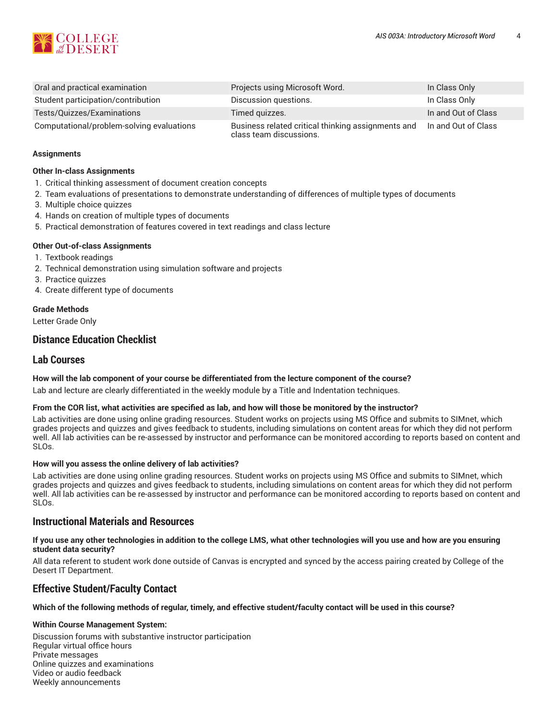

| Oral and practical examination            | Projects using Microsoft Word.                                                | In Class Only       |
|-------------------------------------------|-------------------------------------------------------------------------------|---------------------|
| Student participation/contribution        | Discussion questions.                                                         | In Class Only       |
| Tests/Quizzes/Examinations                | Timed guizzes.                                                                | In and Out of Class |
| Computational/problem-solving evaluations | Business related critical thinking assignments and<br>class team discussions. | In and Out of Class |

#### **Assignments**

#### **Other In-class Assignments**

- 1. Critical thinking assessment of document creation concepts
- 2. Team evaluations of presentations to demonstrate understanding of differences of multiple types of documents
- 3. Multiple choice quizzes
- 4. Hands on creation of multiple types of documents
- 5. Practical demonstration of features covered in text readings and class lecture

### **Other Out-of-class Assignments**

- 1. Textbook readings
- 2. Technical demonstration using simulation software and projects
- 3. Practice quizzes
- 4. Create different type of documents

# **Grade Methods**

Letter Grade Only

# **Distance Education Checklist**

# **Lab Courses**

# **How will the lab component of your course be differentiated from the lecture component of the course?**

Lab and lecture are clearly differentiated in the weekly module by a Title and Indentation techniques.

#### From the COR list, what activities are specified as lab, and how will those be monitored by the instructor?

Lab activities are done using online grading resources. Student works on projects using MS Office and submits to SIMnet, which grades projects and quizzes and gives feedback to students, including simulations on content areas for which they did not perform well. All lab activities can be re-assessed by instructor and performance can be monitored according to reports based on content and SLOs.

#### **How will you assess the online delivery of lab activities?**

Lab activities are done using online grading resources. Student works on projects using MS Office and submits to SIMnet, which grades projects and quizzes and gives feedback to students, including simulations on content areas for which they did not perform well. All lab activities can be re-assessed by instructor and performance can be monitored according to reports based on content and SLOs.

# **Instructional Materials and Resources**

#### If you use any other technologies in addition to the college LMS, what other technologies will you use and how are you ensuring **student data security?**

All data referent to student work done outside of Canvas is encrypted and synced by the access pairing created by College of the Desert IT Department.

# **Effective Student/Faculty Contact**

#### Which of the following methods of regular, timely, and effective student/faculty contact will be used in this course?

#### **Within Course Management System:**

Discussion forums with substantive instructor participation Regular virtual office hours Private messages Online quizzes and examinations Video or audio feedback Weekly announcements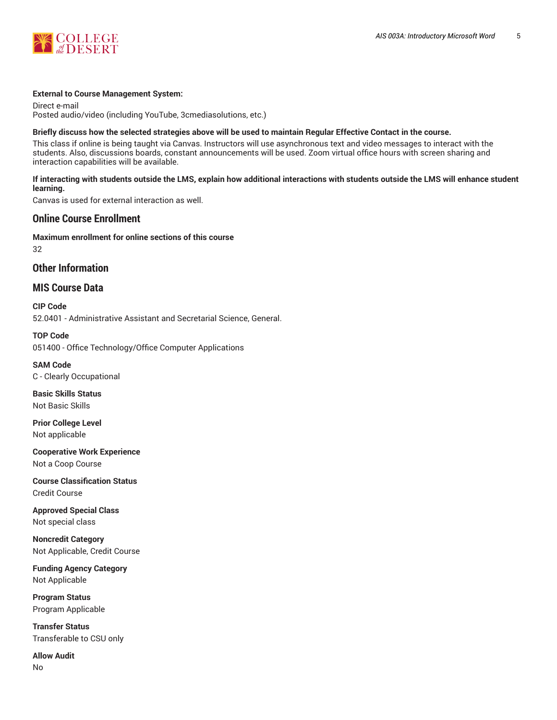

#### **External to Course Management System:**

Direct e-mail Posted audio/video (including YouTube, 3cmediasolutions, etc.)

#### Briefly discuss how the selected strategies above will be used to maintain Regular Effective Contact in the course.

This class if online is being taught via Canvas. Instructors will use asynchronous text and video messages to interact with the students. Also, discussions boards, constant announcements will be used. Zoom virtual office hours with screen sharing and interaction capabilities will be available.

# **If interacting with students outside the LMS, explain how additional interactions with students outside the LMS will enhance student learning.**

Canvas is used for external interaction as well.

# **Online Course Enrollment**

**Maximum enrollment for online sections of this course** 32

**Other Information**

# **MIS Course Data**

**CIP Code** 52.0401 - Administrative Assistant and Secretarial Science, General.

**TOP Code** 051400 - Office Technology/Office Computer Applications

**SAM Code** C - Clearly Occupational

**Basic Skills Status** Not Basic Skills

**Prior College Level** Not applicable

**Cooperative Work Experience** Not a Coop Course

**Course Classification Status** Credit Course

**Approved Special Class** Not special class

**Noncredit Category** Not Applicable, Credit Course

**Funding Agency Category** Not Applicable

**Program Status** Program Applicable

**Transfer Status** Transferable to CSU only

**Allow Audit** No